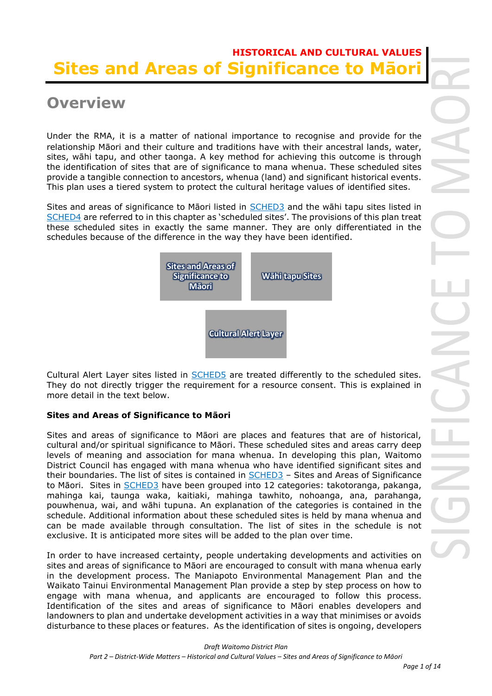# **HISTORICAL AND CULTURAL VALUES Sites and Areas of Significance to Māori**

# **Overview**

Under the RMA, it is a matter of national importance to recognise and provide for the relationship Māori and their culture and traditions have with their ancestral lands, water, sites, wāhi tapu, and other taonga. A key method for achieving this outcome is through the identification of sites that are of significance to mana whenua. These scheduled sites provide a tangible connection to ancestors, whenua (land) and significant historical events. This plan uses a tiered system to protect the cultural heritage values of identified sites.

Sites and areas of significance to Māori listed in SCHED3 and the wāhi tapu sites listed in SCHED4 are referred to in this chapter as 'scheduled sites'. The provisions of this plan treat these scheduled sites in exactly the same manner. They are only differentiated in the schedules because of the difference in the way they have been identified.



Cultural Alert Layer sites listed in **SCHED5** are treated differently to the scheduled sites. They do not directly trigger the requirement for a resource consent. This is explained in more detail in the text below.

# **Sites and Areas of Significance to Māori**

Sites and areas of significance to Māori are places and features that are of historical, cultural and/or spiritual significance to Māori. These scheduled sites and areas carry deep levels of meaning and association for mana whenua. In developing this plan, Waitomo District Council has engaged with mana whenua who have identified significant sites and their boundaries. The list of sites is contained in SCHED3 – Sites and Areas of Significance to Māori. Sites in SCHED3 have been grouped into 12 categories: takotoranga, pakanga, mahinga kai, taunga waka, kaitiaki, mahinga tawhito, nohoanga, ana, parahanga, pouwhenua, wai, and wāhi tupuna. An explanation of the categories is contained in the schedule. Additional information about these scheduled sites is held by mana whenua and can be made available through consultation. The list of sites in the schedule is not exclusive. It is anticipated more sites will be added to the plan over time.

In order to have increased certainty, people undertaking developments and activities on sites and areas of significance to Māori are encouraged to consult with mana whenua early in the development process. The Maniapoto Environmental Management Plan and the Waikato Tainui Environmental Management Plan provide a step by step process on how to engage with mana whenua, and applicants are encouraged to follow this process. Identification of the sites and areas of significance to Māori enables developers and landowners to plan and undertake development activities in a way that minimises or avoids disturbance to these places or features. As the identification of sites is ongoing, developers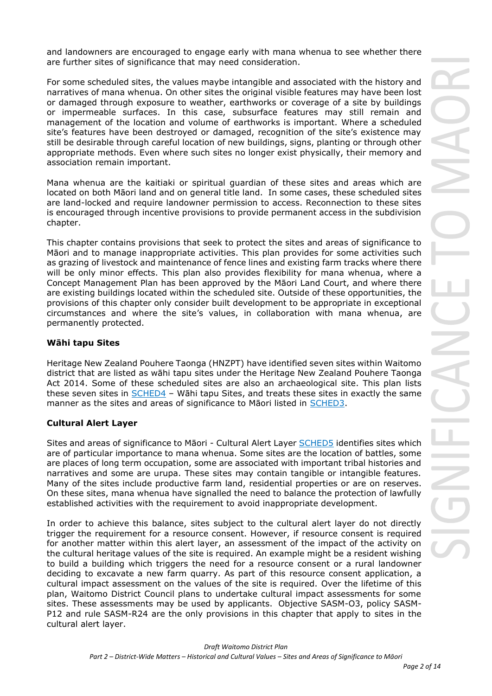and landowners are encouraged to engage early with mana whenua to see whether there are further sites of significance that may need consideration.

For some scheduled sites, the values maybe intangible and associated with the history and narratives of mana whenua. On other sites the original visible features may have been lost or damaged through exposure to weather, earthworks or coverage of a site by buildings or impermeable surfaces. In this case, subsurface features may still remain and management of the location and volume of earthworks is important. Where a scheduled site's features have been destroyed or damaged, recognition of the site's existence may still be desirable through careful location of new buildings, signs, planting or through other appropriate methods. Even where such sites no longer exist physically, their memory and association remain important.

Mana whenua are the kaitiaki or spiritual guardian of these sites and areas which are located on both Māori land and on general title land. In some cases, these scheduled sites are land-locked and require landowner permission to access. Reconnection to these sites is encouraged through incentive provisions to provide permanent access in the subdivision chapter.

This chapter contains provisions that seek to protect the sites and areas of significance to Māori and to manage inappropriate activities. This plan provides for some activities such as grazing of livestock and maintenance of fence lines and existing farm tracks where there will be only minor effects. This plan also provides flexibility for mana whenua, where a Concept Management Plan has been approved by the Māori Land Court, and where there are existing buildings located within the scheduled site. Outside of these opportunities, the provisions of this chapter only consider built development to be appropriate in exceptional circumstances and where the site's values, in collaboration with mana whenua, are permanently protected.

## **Wāhi tapu Sites**

Heritage New Zealand Pouhere Taonga (HNZPT) have identified seven sites within Waitomo district that are listed as wāhi tapu sites under the Heritage New Zealand Pouhere Taonga Act 2014. Some of these scheduled sites are also an archaeological site. This plan lists these seven sites in SCHED4 – Wāhi tapu Sites, and treats these sites in exactly the same manner as the sites and areas of significance to Māori listed in SCHED3.

## **Cultural Alert Layer**

Sites and areas of significance to Māori - Cultural Alert Layer SCHED5 identifies sites which are of particular importance to mana whenua. Some sites are the location of battles, some are places of long term occupation, some are associated with important tribal histories and narratives and some are urupa. These sites may contain tangible or intangible features. Many of the sites include productive farm land, residential properties or are on reserves. On these sites, mana whenua have signalled the need to balance the protection of lawfully established activities with the requirement to avoid inappropriate development.

In order to achieve this balance, sites subject to the cultural alert layer do not directly trigger the requirement for a resource consent. However, if resource consent is required for another matter within this alert layer, an assessment of the impact of the activity on the cultural heritage values of the site is required. An example might be a resident wishing to build a building which triggers the need for a resource consent or a rural landowner deciding to excavate a new farm quarry. As part of this resource consent application, a cultural impact assessment on the values of the site is required. Over the lifetime of this plan, Waitomo District Council plans to undertake cultural impact assessments for some sites. These assessments may be used by applicants.Objective SASM-O3, policy SASM-P12 and rule SASM-R24 are the only provisions in this chapter that apply to sites in the cultural alert layer.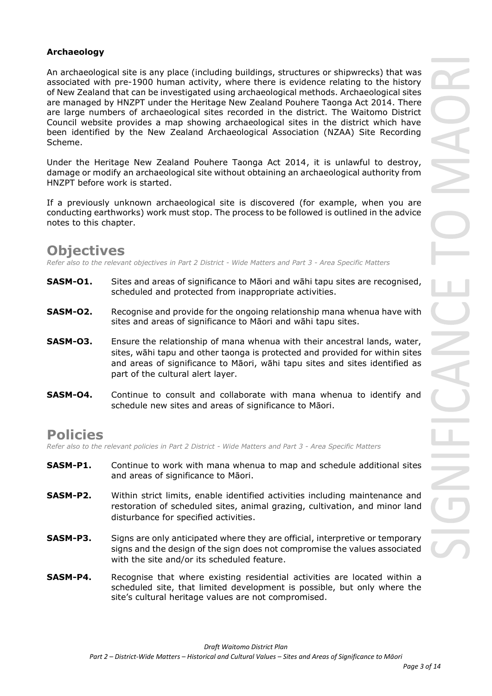## **Archaeology**

An archaeological site is any place (including buildings, structures or shipwrecks) that was associated with pre-1900 human activity, where there is evidence relating to the history of New Zealand that can be investigated using archaeological methods. Archaeological sites are managed by HNZPT under the Heritage New Zealand Pouhere Taonga Act 2014. There are large numbers of archaeological sites recorded in the district. The Waitomo District Council website provides a map showing archaeological sites in the district which have been identified by the New Zealand Archaeological Association (NZAA) Site Recording Scheme.

Under the Heritage New Zealand Pouhere Taonga Act 2014, it is unlawful to destroy, damage or modify an archaeological site without obtaining an archaeological authority from HNZPT before work is started.

If a previously unknown archaeological site is discovered (for example, when you are conducting earthworks) work must stop. The process to be followed is outlined in the advice notes to this chapter.

# **Objectives**

*Refer also to the relevant objectives in Part 2 District - Wide Matters and Part 3 - Area Specific Matters*

- **SASM-01.** Sites and areas of significance to Māori and wāhi tapu sites are recognised, scheduled and protected from inappropriate activities.
- **SASM-O2.** Recognise and provide for the ongoing relationship mana whenua have with sites and areas of significance to Māori and wāhi tapu sites.
- **SASM-O3.** Ensure the relationship of mana whenua with their ancestral lands, water, sites, wāhi tapu and other taonga is protected and provided for within sites and areas of significance to Māori, wāhi tapu sites and sites identified as part of the cultural alert layer.
- **SASM-O4.** Continue to consult and collaborate with mana whenua to identify and schedule new sites and areas of significance to Māori.

# **Policies**

*Refer also to the relevant policies in Part 2 District - Wide Matters and Part 3 - Area Specific Matters*

- **SASM-P1.** Continue to work with mana whenua to map and schedule additional sites and areas of significance to Māori.
- **SASM-P2.** Within strict limits, enable identified activities including maintenance and restoration of scheduled sites, animal grazing, cultivation, and minor land disturbance for specified activities.
- **SASM-P3.** Signs are only anticipated where they are official, interpretive or temporary signs and the design of the sign does not compromise the values associated with the site and/or its scheduled feature.
- **SASM-P4.** Recognise that where existing residential activities are located within a scheduled site, that limited development is possible, but only where the site's cultural heritage values are not compromised.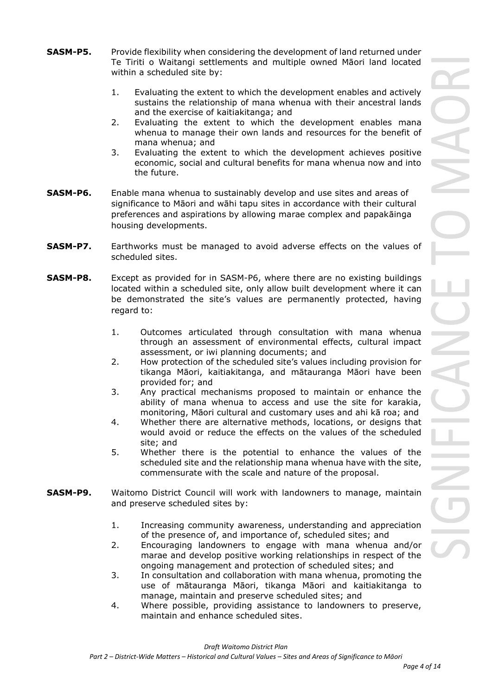- **SASM-P5.** Provide flexibility when considering the development of land returned under Te Tiriti o Waitangi settlements and multiple owned Māori land located within a scheduled site by:
	- 1. Evaluating the extent to which the development enables and actively sustains the relationship of mana whenua with their ancestral lands and the exercise of kaitiakitanga; and
	- 2. Evaluating the extent to which the development enables mana whenua to manage their own lands and resources for the benefit of mana whenua; and
	- 3. Evaluating the extent to which the development achieves positive economic, social and cultural benefits for mana whenua now and into the future.
- **SASM-P6.** Enable mana whenua to sustainably develop and use sites and areas of significance to Māori and wāhi tapu sites in accordance with their cultural preferences and aspirations by allowing marae complex and papakāinga housing developments.
- **SASM-P7.** Earthworks must be managed to avoid adverse effects on the values of scheduled sites.
- **SASM-P8.** Except as provided for in SASM-P6, where there are no existing buildings located within a scheduled site, only allow built development where it can be demonstrated the site's values are permanently protected, having regard to:
	- 1. Outcomes articulated through consultation with mana whenua through an assessment of environmental effects, cultural impact assessment, or iwi planning documents; and
	- 2. How protection of the scheduled site's values including provision for tikanga Māori, kaitiakitanga, and mātauranga Māori have been provided for; and
	- 3. Any practical mechanisms proposed to maintain or enhance the ability of mana whenua to access and use the site for karakia, monitoring, Māori cultural and customary uses and ahi kā roa; and
	- 4. Whether there are alternative methods, locations, or designs that would avoid or reduce the effects on the values of the scheduled site; and
	- 5. Whether there is the potential to enhance the values of the scheduled site and the relationship mana whenua have with the site, commensurate with the scale and nature of the proposal.
- **SASM-P9.** Waitomo District Council will work with landowners to manage, maintain and preserve scheduled sites by:
	- 1. Increasing community awareness, understanding and appreciation of the presence of, and importance of, scheduled sites; and
	- 2. Encouraging landowners to engage with mana whenua and/or marae and develop positive working relationships in respect of the ongoing management and protection of scheduled sites; and
	- 3. In consultation and collaboration with mana whenua, promoting the use of mātauranga Māori, tikanga Māori and kaitiakitanga to manage, maintain and preserve scheduled sites; and
	- 4. Where possible, providing assistance to landowners to preserve, maintain and enhance scheduled sites.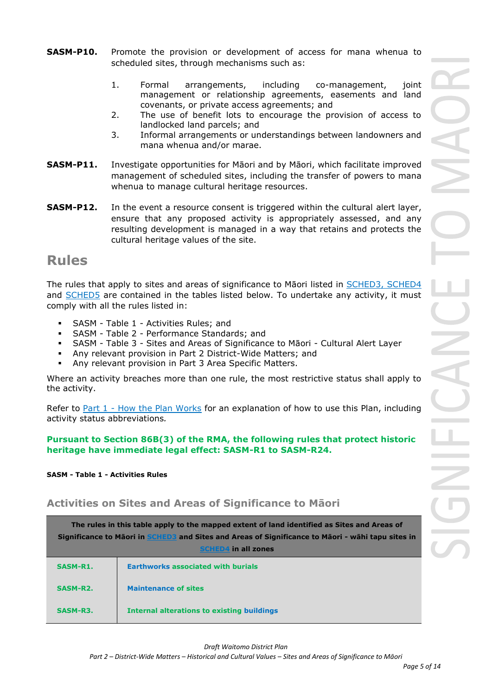- **SASM-P10.** Promote the provision or development of access for mana whenua to scheduled sites, through mechanisms such as:
	- 1. Formal arrangements, including co-management, joint management or relationship agreements, easements and land covenants, or private access agreements; and
	- 2. The use of benefit lots to encourage the provision of access to landlocked land parcels; and
	- 3. Informal arrangements or understandings between landowners and mana whenua and/or marae.
- **SASM-P11.** Investigate opportunities for Māori and by Māori, which facilitate improved management of scheduled sites, including the transfer of powers to mana whenua to manage cultural heritage resources.
- **SASM-P12.** In the event a resource consent is triggered within the cultural alert layer, ensure that any proposed activity is appropriately assessed, and any resulting development is managed in a way that retains and protects the cultural heritage values of the site.

# **Rules**

The rules that apply to sites and areas of significance to Māori listed in SCHED3, SCHED4 and SCHED5 are contained in the tables listed below. To undertake any activity, it must comply with all the rules listed in:

- SASM Table 1 Activities Rules; and
- SASM Table 2 Performance Standards; and
- SASM Table 3 Sites and Areas of Significance to Māori Cultural Alert Layer
- Any relevant provision in Part 2 District-Wide Matters; and
- Any relevant provision in Part 3 Area Specific Matters.

Where an activity breaches more than one rule, the most restrictive status shall apply to the activity.

Refer to [Part 1](javascript:void(0)) - How the Plan Works for an explanation of how to use this Plan, including activity status abbreviations*.*

## **Pursuant to Section 86B(3) of the RMA, the following rules that protect historic heritage have immediate legal effect: SASM-R1 to SASM-R24.**

**SASM - Table 1 - Activities Rules**

# **Activities on Sites and Areas of Significance to Māori**

|          | The rules in this table apply to the mapped extent of land identified as Sites and Areas of<br>Significance to Māori in SCHED3 and Sites and Areas of Significance to Māori - wāhi tapu sites in<br>in all zones<br><b>SCHED4</b> |  |  |
|----------|-----------------------------------------------------------------------------------------------------------------------------------------------------------------------------------------------------------------------------------|--|--|
| SASM-R1. | <b>Earthworks associated with burials</b>                                                                                                                                                                                         |  |  |
| SASM-R2. | <b>Maintenance of sites</b>                                                                                                                                                                                                       |  |  |
| SASM-R3. | <b>Internal alterations to existing buildings</b>                                                                                                                                                                                 |  |  |

*Draft Waitomo District Plan*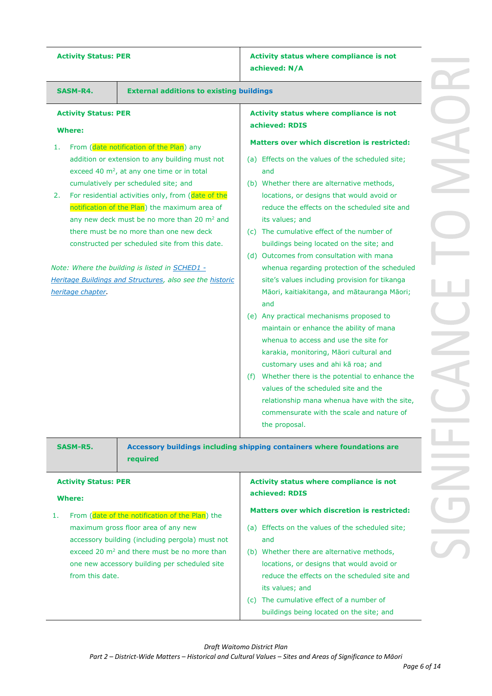Activity Status: PER **Activity status where compliance** is not **achieved: N/A**

|                                              |                                                                                                                                                                                                                                                                                                                                                                                                                                                                                                                      | achieved: N/A                                                                                                                                                                                                                                                                                                                                                                                                                                                                                                                                                                                                                                                                                                                                                                                                                                                                                                                                     |
|----------------------------------------------|----------------------------------------------------------------------------------------------------------------------------------------------------------------------------------------------------------------------------------------------------------------------------------------------------------------------------------------------------------------------------------------------------------------------------------------------------------------------------------------------------------------------|---------------------------------------------------------------------------------------------------------------------------------------------------------------------------------------------------------------------------------------------------------------------------------------------------------------------------------------------------------------------------------------------------------------------------------------------------------------------------------------------------------------------------------------------------------------------------------------------------------------------------------------------------------------------------------------------------------------------------------------------------------------------------------------------------------------------------------------------------------------------------------------------------------------------------------------------------|
| SASM-R4.                                     | <b>External additions to existing buildings</b>                                                                                                                                                                                                                                                                                                                                                                                                                                                                      |                                                                                                                                                                                                                                                                                                                                                                                                                                                                                                                                                                                                                                                                                                                                                                                                                                                                                                                                                   |
| <b>Activity Status: PER</b><br><b>Where:</b> |                                                                                                                                                                                                                                                                                                                                                                                                                                                                                                                      | Activity status where compliance is not<br>achieved: RDIS                                                                                                                                                                                                                                                                                                                                                                                                                                                                                                                                                                                                                                                                                                                                                                                                                                                                                         |
| 1.                                           | From (date notification of the Plan) any                                                                                                                                                                                                                                                                                                                                                                                                                                                                             | <b>Matters over which discretion is restricted:</b>                                                                                                                                                                                                                                                                                                                                                                                                                                                                                                                                                                                                                                                                                                                                                                                                                                                                                               |
| 2.<br>heritage chapter.                      | addition or extension to any building must not<br>exceed 40 $m^2$ , at any one time or in total<br>cumulatively per scheduled site; and<br>For residential activities only, from (date of the<br>notification of the Plan) the maximum area of<br>any new deck must be no more than 20 m <sup>2</sup> and<br>there must be no more than one new deck<br>constructed per scheduled site from this date.<br>Note: Where the building is listed in SCHED1 -<br>Heritage Buildings and Structures, also see the historic | (a) Effects on the values of the scheduled site;<br>and<br>(b) Whether there are alternative methods,<br>locations, or designs that would avoid or<br>reduce the effects on the scheduled site and<br>its values; and<br>(c) The cumulative effect of the number of<br>buildings being located on the site; and<br>(d) Outcomes from consultation with mana<br>whenua regarding protection of the scheduled<br>site's values including provision for tikanga<br>Māori, kaitiakitanga, and mātauranga Māori;<br>and<br>(e) Any practical mechanisms proposed to<br>maintain or enhance the ability of mana<br>whenua to access and use the site for<br>karakia, monitoring, Māori cultural and<br>customary uses and ahi kā roa; and<br>Whether there is the potential to enhance the<br>(f)<br>values of the scheduled site and the<br>relationship mana whenua have with the site,<br>commensurate with the scale and nature of<br>the proposal. |
| SASM-R5.<br><b>Activity Status: PER</b>      | required                                                                                                                                                                                                                                                                                                                                                                                                                                                                                                             | Accessory buildings including shipping containers where foundations are<br>Activity status where compliance is not                                                                                                                                                                                                                                                                                                                                                                                                                                                                                                                                                                                                                                                                                                                                                                                                                                |
| <b>Where:</b>                                |                                                                                                                                                                                                                                                                                                                                                                                                                                                                                                                      | achieved: RDIS                                                                                                                                                                                                                                                                                                                                                                                                                                                                                                                                                                                                                                                                                                                                                                                                                                                                                                                                    |
| 1.                                           | From (date of the notification of the Plan) the                                                                                                                                                                                                                                                                                                                                                                                                                                                                      | <b>Matters over which discretion is restricted:</b>                                                                                                                                                                                                                                                                                                                                                                                                                                                                                                                                                                                                                                                                                                                                                                                                                                                                                               |
| from this date.                              | maximum gross floor area of any new<br>accessory building (including pergola) must not<br>exceed 20 m <sup>2</sup> and there must be no more than<br>one new accessory building per scheduled site                                                                                                                                                                                                                                                                                                                   | (a) Effects on the values of the scheduled site;<br>and<br>(b) Whether there are alternative methods,<br>locations, or designs that would avoid or<br>reduce the effects on the scheduled site and<br>its values; and<br>(c) The cumulative effect of a number of<br>buildings being located on the site; and                                                                                                                                                                                                                                                                                                                                                                                                                                                                                                                                                                                                                                     |

 $\sim$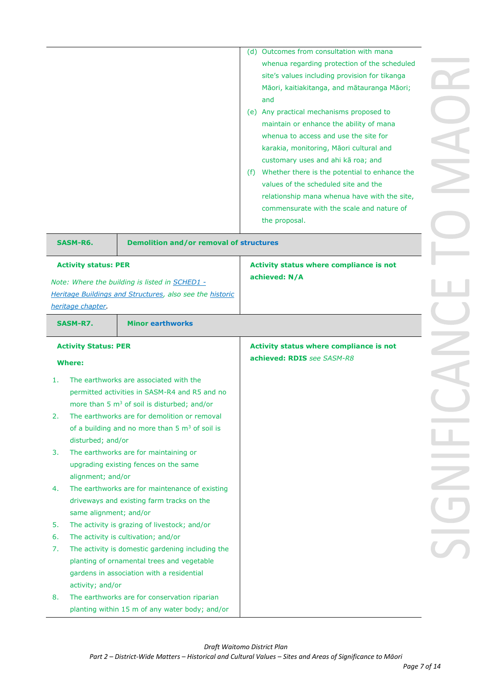|               |                             |                                                                                                | (d) Outcomes from consultation with mana<br>whenua regarding protection of the scheduled |  |
|---------------|-----------------------------|------------------------------------------------------------------------------------------------|------------------------------------------------------------------------------------------|--|
|               |                             |                                                                                                | site's values including provision for tikanga                                            |  |
|               |                             |                                                                                                | Māori, kaitiakitanga, and mātauranga Māori;                                              |  |
|               |                             |                                                                                                | and                                                                                      |  |
|               |                             |                                                                                                | (e) Any practical mechanisms proposed to                                                 |  |
|               |                             |                                                                                                | maintain or enhance the ability of mana                                                  |  |
|               |                             |                                                                                                | whenua to access and use the site for                                                    |  |
|               |                             |                                                                                                | karakia, monitoring, Māori cultural and                                                  |  |
|               |                             |                                                                                                | customary uses and ahi kā roa; and                                                       |  |
|               |                             |                                                                                                | (f) Whether there is the potential to enhance the                                        |  |
|               |                             |                                                                                                | values of the scheduled site and the                                                     |  |
|               |                             |                                                                                                | relationship mana whenua have with the site,                                             |  |
|               |                             |                                                                                                | commensurate with the scale and nature of                                                |  |
|               |                             |                                                                                                | the proposal.                                                                            |  |
|               | SASM-R6.                    | <b>Demolition and/or removal of structures</b>                                                 |                                                                                          |  |
|               | <b>Activity status: PER</b> |                                                                                                | Activity status where compliance is not                                                  |  |
|               |                             | Note: Where the building is listed in SCHED1 -                                                 | achieved: N/A                                                                            |  |
|               |                             | Heritage Buildings and Structures, also see the historic                                       |                                                                                          |  |
|               | heritage chapter.           |                                                                                                |                                                                                          |  |
|               | SASM-R7.                    | <b>Minor earthworks</b>                                                                        |                                                                                          |  |
|               |                             |                                                                                                |                                                                                          |  |
|               | <b>Activity Status: PER</b> |                                                                                                | Activity status where compliance is not                                                  |  |
| <b>Where:</b> |                             |                                                                                                | achieved: RDIS see SASM-R8                                                               |  |
| 1.            |                             | The earthworks are associated with the                                                         |                                                                                          |  |
|               |                             |                                                                                                |                                                                                          |  |
|               |                             | permitted activities in SASM-R4 and R5 and no                                                  |                                                                                          |  |
|               |                             | more than 5 m <sup>3</sup> of soil is disturbed; and/or                                        |                                                                                          |  |
| 2.            |                             | The earthworks are for demolition or removal                                                   |                                                                                          |  |
|               |                             | of a building and no more than $5 \text{ m}^3$ of soil is                                      |                                                                                          |  |
|               | disturbed; and/or           |                                                                                                |                                                                                          |  |
| 3.            |                             | The earthworks are for maintaining or                                                          |                                                                                          |  |
|               |                             | upgrading existing fences on the same                                                          |                                                                                          |  |
|               | alignment; and/or           |                                                                                                |                                                                                          |  |
| 4.            |                             | The earthworks are for maintenance of existing                                                 |                                                                                          |  |
|               |                             | driveways and existing farm tracks on the                                                      |                                                                                          |  |
|               | same alignment; and/or      |                                                                                                |                                                                                          |  |
| 5.            |                             | The activity is grazing of livestock; and/or                                                   |                                                                                          |  |
| 6.            |                             | The activity is cultivation; and/or                                                            |                                                                                          |  |
| 7.            |                             | The activity is domestic gardening including the                                               |                                                                                          |  |
|               |                             | planting of ornamental trees and vegetable                                                     |                                                                                          |  |
|               |                             | gardens in association with a residential                                                      |                                                                                          |  |
|               | activity; and/or            |                                                                                                |                                                                                          |  |
| 8.            |                             | The earthworks are for conservation riparian<br>planting within 15 m of any water body; and/or |                                                                                          |  |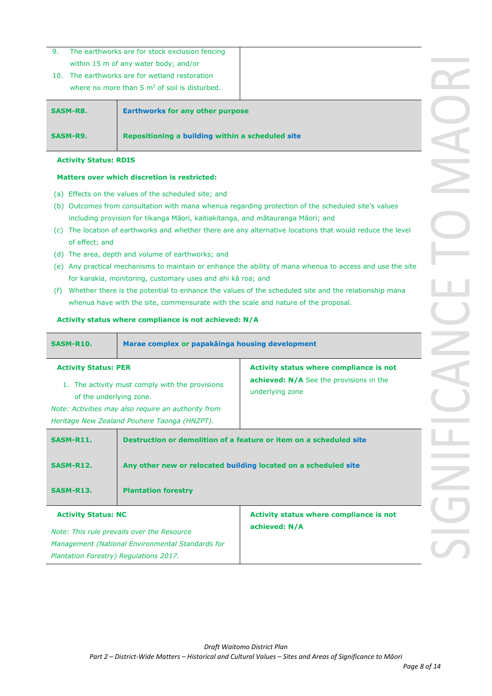- 9. The earthworks are for stock exclusion fencing within 15 m of any water body; and/or
- 10. The earthworks are for wetland restoration where no more than  $5 \text{ m}^3$  of soil is disturbed.

| <b>SASM-R8.</b> | <b>Earthworks for any other purpose</b>          |
|-----------------|--------------------------------------------------|
| SASM-R9.        | Repositioning a building within a scheduled site |

### **Activity Status: RDIS**

### **Matters over which discretion is restricted:**

- (a) Effects on the values of the scheduled site; and
- (b) Outcomes from consultation with mana whenua regarding protection of the scheduled site's values including provision for tikanga Māori, kaitiakitanga, and mātauranga Māori; and
- (c) The location of earthworks and whether there are any alternative locations that would reduce the level of effect; and
- (d) The area, depth and volume of earthworks; and
- (e) Any practical mechanisms to maintain or enhance the ability of mana whenua to access and use the site for karakia, monitoring, customary uses and ahi kā roa; and
- (f) Whether there is the potential to enhance the values of the scheduled site and the relationship mana whenua have with the site, commensurate with the scale and nature of the proposal.

### **Activity status where compliance is not achieved: N/A**

| <b>SASM-R10.</b>                                                                                                                                                                                                                | Marae complex or papakainga housing development |                                                                                                              |  |
|---------------------------------------------------------------------------------------------------------------------------------------------------------------------------------------------------------------------------------|-------------------------------------------------|--------------------------------------------------------------------------------------------------------------|--|
| <b>Activity Status: PER</b><br>1. The activity must comply with the provisions<br>of the underlying zone.<br>Note: Activities may also require an authority from<br>Heritage New Zealand Pouhere Taonga (HNZPT).                |                                                 | Activity status where compliance is not<br><b>achieved: N/A</b> See the provisions in the<br>underlying zone |  |
| Destruction or demolition of a feature or item on a scheduled site<br><b>SASM-R11.</b><br>Any other new or relocated building located on a scheduled site<br><b>SASM-R12.</b><br><b>SASM-R13.</b><br><b>Plantation forestry</b> |                                                 |                                                                                                              |  |
| <b>Activity Status: NC</b><br>Note: This rule prevails over the Resource<br>Management (National Environmental Standards for<br>Plantation Forestry) Regulations 2017.                                                          |                                                 | Activity status where compliance is not<br>achieved: N/A                                                     |  |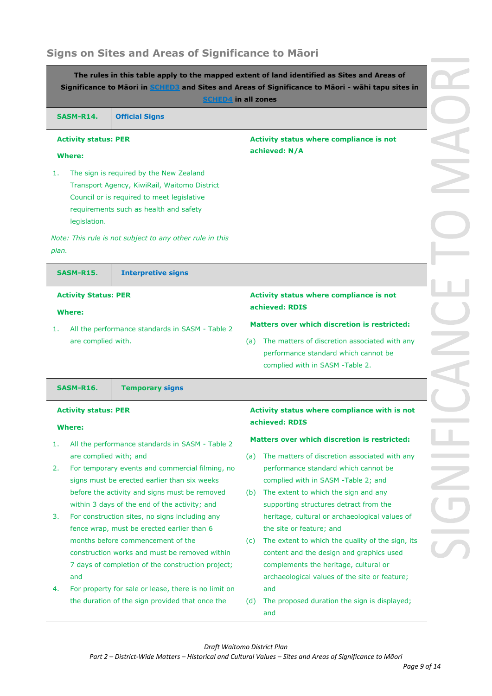# **Signs on Sites and Areas of Significance to Māori**

| The rules in this table apply to the mapped extent of land identified as Sites and Areas of<br>Significance to Māori in SCHED3 and Sites and Areas of Significance to Māori - wāhi tapu sites in<br><b>SCHED4</b> in all zones |                                                                                                                                      |                                                                                                                              |  |
|--------------------------------------------------------------------------------------------------------------------------------------------------------------------------------------------------------------------------------|--------------------------------------------------------------------------------------------------------------------------------------|------------------------------------------------------------------------------------------------------------------------------|--|
| <b>SASM-R14.</b>                                                                                                                                                                                                               | <b>Official Signs</b>                                                                                                                |                                                                                                                              |  |
| <b>Activity status: PER</b>                                                                                                                                                                                                    |                                                                                                                                      | Activity status where compliance is not<br>achieved: N/A                                                                     |  |
| <b>Where:</b><br>1.                                                                                                                                                                                                            | The sign is required by the New Zealand                                                                                              |                                                                                                                              |  |
| legislation.                                                                                                                                                                                                                   | Transport Agency, KiwiRail, Waitomo District<br>Council or is required to meet legislative<br>requirements such as health and safety |                                                                                                                              |  |
| plan.                                                                                                                                                                                                                          | Note: This rule is not subject to any other rule in this                                                                             |                                                                                                                              |  |
| SASM-R15.                                                                                                                                                                                                                      | <b>Interpretive signs</b>                                                                                                            |                                                                                                                              |  |
| <b>Activity Status: PER</b><br><b>Where:</b>                                                                                                                                                                                   |                                                                                                                                      | Activity status where compliance is not<br>achieved: RDIS                                                                    |  |
| 1.                                                                                                                                                                                                                             | All the performance standards in SASM - Table 2                                                                                      | <b>Matters over which discretion is restricted:</b>                                                                          |  |
| are complied with.                                                                                                                                                                                                             |                                                                                                                                      | (a) The matters of discretion associated with any<br>performance standard which cannot be<br>complied with in SASM -Table 2. |  |
| <b>SASM-R16.</b>                                                                                                                                                                                                               | <b>Temporary signs</b>                                                                                                               |                                                                                                                              |  |
| <b>Activity status: PER</b><br><b>Where:</b>                                                                                                                                                                                   |                                                                                                                                      | Activity status where compliance with is not<br>achieved: RDIS                                                               |  |
| 1.                                                                                                                                                                                                                             | All the performance standards in SASM - Table 2                                                                                      | <b>Matters over which discretion is restricted:</b>                                                                          |  |
|                                                                                                                                                                                                                                | are complied with; and                                                                                                               | The matters of discretion associated with any<br>(a)                                                                         |  |
| 2.                                                                                                                                                                                                                             | For temporary events and commercial filming, no<br>signs must be erected earlier than six weeks                                      | performance standard which cannot be<br>complied with in SASM -Table 2; and                                                  |  |
|                                                                                                                                                                                                                                | before the activity and signs must be removed                                                                                        | The extent to which the sign and any<br>(b)                                                                                  |  |
| 3.                                                                                                                                                                                                                             | within 3 days of the end of the activity; and<br>For construction sites, no signs including any                                      | supporting structures detract from the<br>heritage, cultural or archaeological values of                                     |  |
|                                                                                                                                                                                                                                | fence wrap, must be erected earlier than 6                                                                                           | the site or feature; and                                                                                                     |  |
|                                                                                                                                                                                                                                | months before commencement of the                                                                                                    | The extent to which the quality of the sign, its<br>(C)                                                                      |  |
|                                                                                                                                                                                                                                | construction works and must be removed within<br>7 days of completion of the construction project;                                   | content and the design and graphics used<br>complements the heritage, cultural or                                            |  |
| and                                                                                                                                                                                                                            |                                                                                                                                      | archaeological values of the site or feature;                                                                                |  |
| 4.                                                                                                                                                                                                                             | For property for sale or lease, there is no limit on<br>the duration of the sign provided that once the                              | and<br>The proposed duration the sign is displayed;<br>(d)<br>and                                                            |  |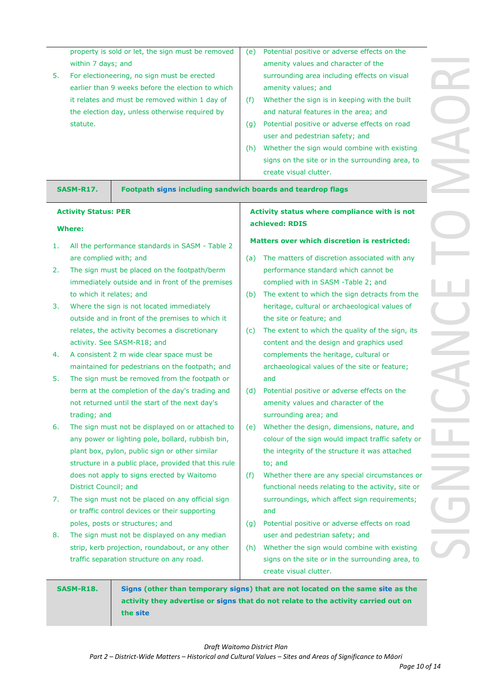| g             |  |
|---------------|--|
| n visual      |  |
|               |  |
| the built     |  |
| ıd            |  |
|               |  |
| on road       |  |
| th existing   |  |
|               |  |
| ing area, to  |  |
|               |  |
|               |  |
| ith is not    |  |
|               |  |
|               |  |
| stricted:     |  |
| d with any    |  |
| : be          |  |
| d             |  |
| ts from the   |  |
| values of     |  |
|               |  |
| he sign, its  |  |
| s used        |  |
| or            |  |
| feature;      |  |
|               |  |
| on the        |  |
| g             |  |
|               |  |
| ature,<br>-an |  |
| fic safety or |  |
| attached      |  |
|               |  |
| mstances or   |  |
| vity, site or |  |
| uirements;    |  |
|               |  |
| on road       |  |
|               |  |
| th existing   |  |
| ing area, to  |  |
|               |  |
|               |  |

property is sold or let, the sign must be removed within 7 days; and

- 5. For electioneering, no sign must be erected earlier than 9 weeks before the election to which it relates and must be removed within 1 day of the election day, unless otherwise required by statute.
- (e) Potential positive or adverse effects on the amenity values and character of the surrounding area including effects o amenity values; and
- $(f)$  Whether the sign is in keeping with and natural features in the area; an
- $(q)$  Potential positive or adverse effects user and pedestrian safety; and
- (h) Whether the sign would combine with signs on the site or in the surroundi create visual clutter.

**SASM-R17. Footpath signs including sandwich boards and teardrop flags**

### **Activity Status: PER**

### **Where:**

- 1. All the performance standards in SASM Table 2 are complied with; and
- 2. The sign must be placed on the footpath/berm immediately outside and in front of the premises to which it relates; and
- 3. Where the sign is not located immediately outside and in front of the premises to which it relates, the activity becomes a discretionary activity. See SASM-R18; and
- 4. A consistent 2 m wide clear space must be maintained for pedestrians on the footpath; and
- 5. The sign must be removed from the footpath or berm at the completion of the day's trading and not returned until the start of the next day's trading; and
- 6. The sign must not be displayed on or attached to any power or lighting pole, bollard, rubbish bin, plant box, pylon, public sign or other similar structure in a public place, provided that this rule does not apply to signs erected by Waitomo District Council; and
- 7. The sign must not be placed on any official sign or traffic control devices or their supporting poles, posts or structures; and
- 8. The sign must not be displayed on any median strip, kerb projection, roundabout, or any other traffic separation structure on any road.

## **Activity status where compliance with intervalled achieved: RDIS**

### **Matters over which discretion is rest**

- (a) The matters of discretion associated performance standard which cannot complied with in SASM -Table 2; and
- (b) The extent to which the sign detract heritage, cultural or archaeological the site or feature; and
- (c) The extent to which the quality of  $t$ content and the design and graphics complements the heritage, cultural archaeological values of the site or and
- (d) Potential positive or adverse effects amenity values and character of the surrounding area; and
- (e) Whether the design, dimensions, na colour of the sign would impact traff the integrity of the structure it was to; and
- ( $f$ ) Whether there are any special circumstances or functional needs relating to the activ surroundings, which affect sign requirement and
- (g) Potential positive or adverse effects user and pedestrian safety; and
- (h) Whether the sign would combine with signs on the site or in the surroundi create visual clutter.

**SASM-R18. Signs (other than temporary signs) that are not located on the same site as the activity they advertise or signs that do not relate to the activity carried out on the site** 

*Draft Waitomo District Plan*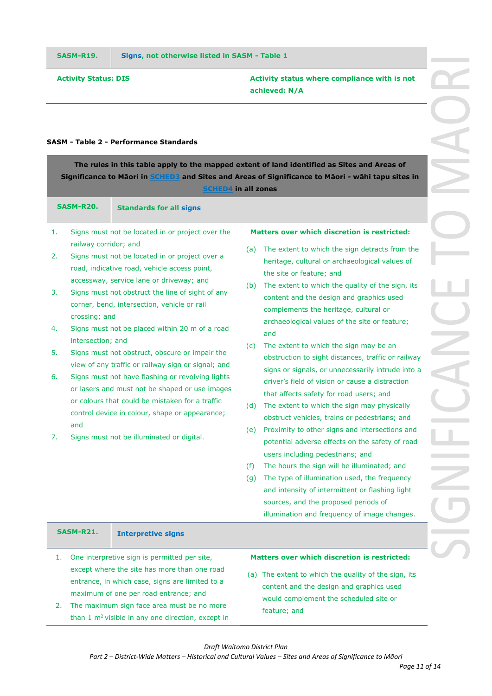**Activity Status: DIS Activity status where compliance with is not achieved: N/A**

### **SASM - Table 2 - Performance Standards**

|                                        | The rules in this table apply to the mapped extent of land identified as Sites and Areas of<br>Significance to Maori in SCHED3 and Sites and Areas of Significance to Maori - wahi tapu sites in<br><b>SCHED4 in all zones</b> |                                                                                                                                                                                                                                                                                                                                                                                                                                                                                                                                                                                                                                                                                                                     |                                                                                                                                                                                                                                                                                                                                                                                                                                                                                                                                                                                                                                                                                                                                                                                                                                                                                                                                                                                                                                                                                                                                                                             |
|----------------------------------------|--------------------------------------------------------------------------------------------------------------------------------------------------------------------------------------------------------------------------------|---------------------------------------------------------------------------------------------------------------------------------------------------------------------------------------------------------------------------------------------------------------------------------------------------------------------------------------------------------------------------------------------------------------------------------------------------------------------------------------------------------------------------------------------------------------------------------------------------------------------------------------------------------------------------------------------------------------------|-----------------------------------------------------------------------------------------------------------------------------------------------------------------------------------------------------------------------------------------------------------------------------------------------------------------------------------------------------------------------------------------------------------------------------------------------------------------------------------------------------------------------------------------------------------------------------------------------------------------------------------------------------------------------------------------------------------------------------------------------------------------------------------------------------------------------------------------------------------------------------------------------------------------------------------------------------------------------------------------------------------------------------------------------------------------------------------------------------------------------------------------------------------------------------|
|                                        | SASM-R20.                                                                                                                                                                                                                      | <b>Standards for all signs</b>                                                                                                                                                                                                                                                                                                                                                                                                                                                                                                                                                                                                                                                                                      |                                                                                                                                                                                                                                                                                                                                                                                                                                                                                                                                                                                                                                                                                                                                                                                                                                                                                                                                                                                                                                                                                                                                                                             |
| 1.<br>2.<br>3.<br>4.<br>5.<br>6.<br>7. | railway corridor; and<br>crossing; and<br>intersection; and<br>and                                                                                                                                                             | Signs must not be located in or project over the<br>Signs must not be located in or project over a<br>road, indicative road, vehicle access point,<br>accessway, service lane or driveway; and<br>Signs must not obstruct the line of sight of any<br>corner, bend, intersection, vehicle or rail<br>Signs must not be placed within 20 m of a road<br>Signs must not obstruct, obscure or impair the<br>view of any traffic or railway sign or signal; and<br>Signs must not have flashing or revolving lights<br>or lasers and must not be shaped or use images<br>or colours that could be mistaken for a traffic<br>control device in colour, shape or appearance;<br>Signs must not be illuminated or digital. | <b>Matters over which discretion is restricted:</b><br>The extent to which the sign detracts from the<br>(a)<br>heritage, cultural or archaeological values of<br>the site or feature; and<br>The extent to which the quality of the sign, its<br>(b)<br>content and the design and graphics used<br>complements the heritage, cultural or<br>archaeological values of the site or feature;<br>and<br>The extent to which the sign may be an<br>(c)<br>obstruction to sight distances, traffic or railway<br>signs or signals, or unnecessarily intrude into a<br>driver's field of vision or cause a distraction<br>that affects safety for road users; and<br>The extent to which the sign may physically<br>(d)<br>obstruct vehicles, trains or pedestrians; and<br>Proximity to other signs and intersections and<br>(e)<br>potential adverse effects on the safety of road<br>users including pedestrians; and<br>The hours the sign will be illuminated; and<br>(f)<br>The type of illumination used, the frequency<br>(g)<br>and intensity of intermittent or flashing light<br>sources, and the proposed periods of<br>illumination and frequency of image changes. |
|                                        | SASM-R21.                                                                                                                                                                                                                      | <b>Interpretive signs</b>                                                                                                                                                                                                                                                                                                                                                                                                                                                                                                                                                                                                                                                                                           |                                                                                                                                                                                                                                                                                                                                                                                                                                                                                                                                                                                                                                                                                                                                                                                                                                                                                                                                                                                                                                                                                                                                                                             |
| 1.<br>2.                               |                                                                                                                                                                                                                                | One interpretive sign is permitted per site,<br>except where the site has more than one road<br>entrance, in which case, signs are limited to a<br>maximum of one per road entrance; and<br>The maximum sign face area must be no more<br>than $1 \text{ m}^2$ visible in any one direction, except in                                                                                                                                                                                                                                                                                                                                                                                                              | Matters over which discretion is restricted:<br>(a) The extent to which the quality of the sign, its<br>content and the design and graphics used<br>would complement the scheduled site or<br>feature; and                                                                                                                                                                                                                                                                                                                                                                                                                                                                                                                                                                                                                                                                                                                                                                                                                                                                                                                                                                  |

*Draft Waitomo District Plan*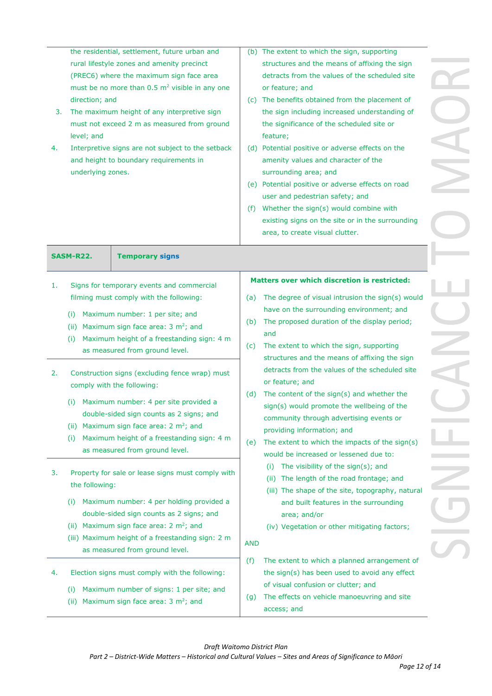| 4. | the residential, settlement, future urban and<br>rural lifestyle zones and amenity precinct<br>(PREC6) where the maximum sign face area<br>must be no more than $0.5 \text{ m}^2$ visible in any one<br>direction; and<br>The maximum height of any interpretive sign<br>3.<br>must not exceed 2 m as measured from ground<br>level; and<br>Interpretive signs are not subject to the setback<br>and height to boundary requirements in<br>underlying zones. |                                                                                                                                                                                                                                                                                       |            | (b) The extent to which the sign, supporting<br>structures and the means of affixing the sign<br>detracts from the values of the scheduled site<br>or feature; and<br>(c) The benefits obtained from the placement of<br>the sign including increased understanding of<br>the significance of the scheduled site or<br>feature;<br>(d) Potential positive or adverse effects on the<br>amenity values and character of the<br>surrounding area; and<br>(e) Potential positive or adverse effects on road<br>user and pedestrian safety; and<br>(f) Whether the sign(s) would combine with<br>existing signs on the site or in the surrounding<br>area, to create visual clutter. |
|----|--------------------------------------------------------------------------------------------------------------------------------------------------------------------------------------------------------------------------------------------------------------------------------------------------------------------------------------------------------------------------------------------------------------------------------------------------------------|---------------------------------------------------------------------------------------------------------------------------------------------------------------------------------------------------------------------------------------------------------------------------------------|------------|----------------------------------------------------------------------------------------------------------------------------------------------------------------------------------------------------------------------------------------------------------------------------------------------------------------------------------------------------------------------------------------------------------------------------------------------------------------------------------------------------------------------------------------------------------------------------------------------------------------------------------------------------------------------------------|
|    | SASM-R22.                                                                                                                                                                                                                                                                                                                                                                                                                                                    | <b>Temporary signs</b>                                                                                                                                                                                                                                                                |            |                                                                                                                                                                                                                                                                                                                                                                                                                                                                                                                                                                                                                                                                                  |
| 1. |                                                                                                                                                                                                                                                                                                                                                                                                                                                              | Signs for temporary events and commercial                                                                                                                                                                                                                                             |            | <b>Matters over which discretion is restricted:</b>                                                                                                                                                                                                                                                                                                                                                                                                                                                                                                                                                                                                                              |
|    |                                                                                                                                                                                                                                                                                                                                                                                                                                                              | filming must comply with the following:                                                                                                                                                                                                                                               | (a)        | The degree of visual intrusion the sign(s) would                                                                                                                                                                                                                                                                                                                                                                                                                                                                                                                                                                                                                                 |
|    | Maximum number: 1 per site; and<br>(i)<br>(ii) Maximum sign face area: $3 \text{ m}^2$ ; and<br>Maximum height of a freestanding sign: 4 m<br>(i)<br>as measured from ground level.                                                                                                                                                                                                                                                                          |                                                                                                                                                                                                                                                                                       | (b)<br>(c) | have on the surrounding environment; and<br>The proposed duration of the display period;<br>and<br>The extent to which the sign, supporting<br>structures and the means of affixing the sign<br>detracts from the values of the scheduled site                                                                                                                                                                                                                                                                                                                                                                                                                                   |
| 2. | comply with the following:<br>(i)<br>(ii)<br>(i)                                                                                                                                                                                                                                                                                                                                                                                                             | Construction signs (excluding fence wrap) must<br>Maximum number: 4 per site provided a<br>double-sided sign counts as 2 signs; and<br>Maximum sign face area: 2 m <sup>2</sup> ; and<br>Maximum height of a freestanding sign: 4 m<br>as measured from ground level.                 | (d)<br>(e) | or feature; and<br>The content of the sign(s) and whether the<br>sign(s) would promote the wellbeing of the<br>community through advertising events or<br>providing information; and<br>The extent to which the impacts of the sign(s)<br>would be increased or lessened due to:                                                                                                                                                                                                                                                                                                                                                                                                 |
| 3. | the following:<br>(i)                                                                                                                                                                                                                                                                                                                                                                                                                                        | Property for sale or lease signs must comply with<br>Maximum number: 4 per holding provided a<br>double-sided sign counts as 2 signs; and<br>(ii) Maximum sign face area: $2 \text{ m}^2$ ; and<br>(iii) Maximum height of a freestanding sign: 2 m<br>as measured from ground level. | <b>AND</b> | The visibility of the sign(s); and<br>(i)<br>The length of the road frontage; and<br>(ii)<br>(iii) The shape of the site, topography, natural<br>and built features in the surrounding<br>area; and/or<br>(iv) Vegetation or other mitigating factors;                                                                                                                                                                                                                                                                                                                                                                                                                           |
| 4. | (i)<br>(ii)                                                                                                                                                                                                                                                                                                                                                                                                                                                  | Election signs must comply with the following:<br>Maximum number of signs: 1 per site; and<br>Maximum sign face area: 3 m <sup>2</sup> ; and                                                                                                                                          | (f)<br>(g) | The extent to which a planned arrangement of<br>the sign(s) has been used to avoid any effect<br>of visual confusion or clutter; and<br>The effects on vehicle manoeuvring and site<br>access; and                                                                                                                                                                                                                                                                                                                                                                                                                                                                               |

*Draft Waitomo District Plan*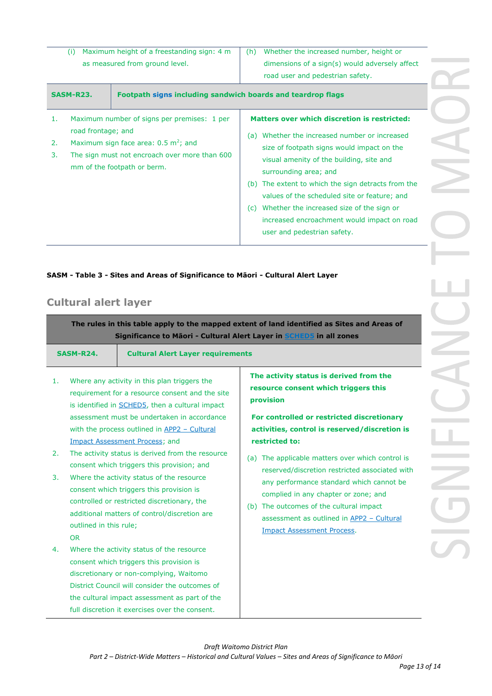| <b>SASM-R23.</b>               | Footpath signs including sandwich boards and teardrop flags |     |                                                |
|--------------------------------|-------------------------------------------------------------|-----|------------------------------------------------|
|                                |                                                             |     | road user and pedestrian safety.               |
| as measured from ground level. |                                                             |     | dimensions of a sign(s) would adversely affect |
|                                | Maximum height of a freestanding sign: 4 m                  | (h) | Whether the increased number, height or        |
|                                |                                                             |     |                                                |

- 1. Maximum number of signs per premises: 1 per road frontage; and
- 2. Maximum sign face area:  $0.5 \text{ m}^2$ ; and
- 3. The sign must not encroach over more than 600 mm of the footpath or berm.

## **Matters over which discretion is restricted:**

- (a) Whether the increased number or increased size of footpath signs would impact on the visual amenity of the building, site and surrounding area; and
- (b) The extent to which the sign detracts from the values of the scheduled site or feature; and
- (c) Whether the increased size of the sign or increased encroachment would impact on road user and pedestrian safety.

## **SASM - Table 3 - Sites and Areas of Significance to Māori - Cultural Alert Layer**

# **Cultural alert layer**

**The rules in this table apply to the mapped extent of land identified as Sites and Areas of Significance to Māori - Cultural Alert Layer in SCHED5 in all zones**

| SASM-R24. | <b>Cultural Alert Layer requirements</b> |
|-----------|------------------------------------------|
|           |                                          |

- 1. Where any activity in this plan triggers the requirement for a resource consent and the site is identified in SCHED5, then a cultural impact assessment must be undertaken in accordance with the process outlined in APP2 - Cultural Impact Assessment Process; and
- 2. The activity status is derived from the resource consent which triggers this provision; and
- 3. Where the activity status of the resource consent which triggers this provision is controlled or restricted discretionary, the additional matters of control/discretion are outlined in this rule; OR
	-
- 4. Where the activity status of the resource consent which triggers this provision is discretionary or non-complying, Waitomo District Council will consider the outcomes of the cultural impact assessment as part of the full discretion it exercises over the consent.

**The activity status is derived from the resource consent which triggers this provision**

**For controlled or restricted discretionary activities, control is reserved/discretion is restricted to:**

- (a) The applicable matters over which control is reserved/discretion restricted associated with any performance standard which cannot be complied in any chapter or zone; and
- (b) The outcomes of the cultural impact assessment as outlined in APP2 – Cultural Impact Assessment Process.